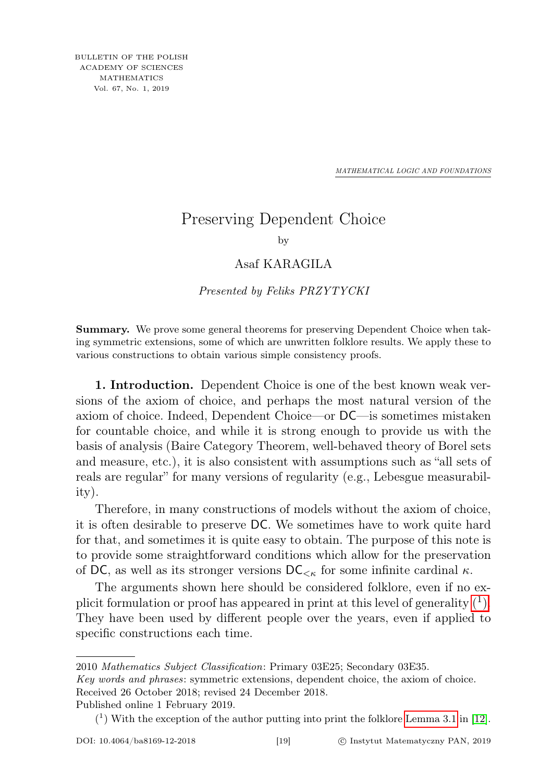*MATHEMATICAL LOGIC AND FOUNDATIONS*

## Preserving Dependent Choice

by

## Asaf KARAGILA

Presented by Feliks PRZYTYCKI

Summary. We prove some general theorems for preserving Dependent Choice when taking symmetric extensions, some of which are unwritten folklore results. We apply these to various constructions to obtain various simple consistency proofs.

1. Introduction. Dependent Choice is one of the best known weak versions of the axiom of choice, and perhaps the most natural version of the axiom of choice. Indeed, Dependent Choice—or DC—is sometimes mistaken for countable choice, and while it is strong enough to provide us with the basis of analysis (Baire Category Theorem, well-behaved theory of Borel sets and measure, etc.), it is also consistent with assumptions such as "all sets of reals are regular" for many versions of regularity (e.g., Lebesgue measurability).

Therefore, in many constructions of models without the axiom of choice, it is often desirable to preserve DC. We sometimes have to work quite hard for that, and sometimes it is quite easy to obtain. The purpose of this note is to provide some straightforward conditions which allow for the preservation of DC, as well as its stronger versions  $DC_{\leq \kappa}$  for some infinite cardinal  $\kappa$ .

The arguments shown here should be considered folklore, even if no explicit formulation or proof has appeared in print at this level of generality  $(1)$ . They have been used by different people over the years, even if applied to specific constructions each time.

Published online 1 February 2019.

<sup>2010</sup> Mathematics Subject Classification: Primary 03E25; Secondary 03E35. Key words and phrases: symmetric extensions, dependent choice, the axiom of choice. Received 26 October 2018; revised 24 December 2018.

<span id="page-0-0"></span> $(1)$  With the exception of the author putting into print the folklore [Lemma 3.1](#page-2-0) in [\[12\]](#page-10-0).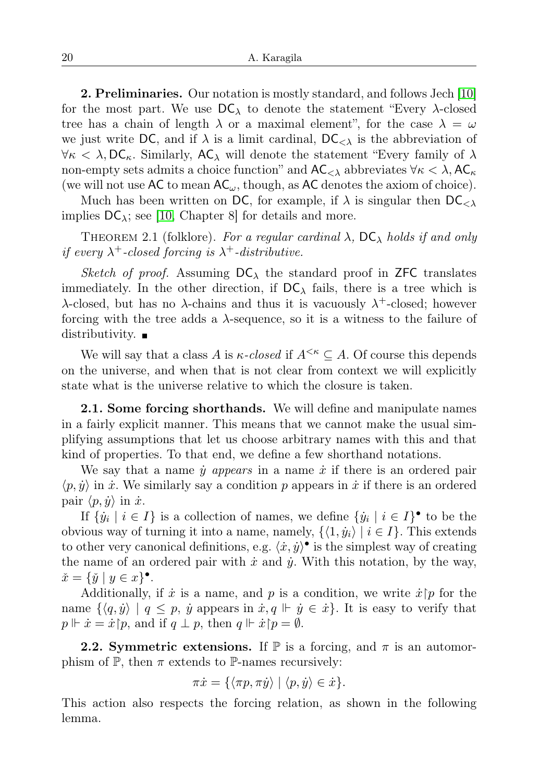2. Preliminaries. Our notation is mostly standard, and follows Jech [\[10\]](#page-10-1) for the most part. We use  $DC_{\lambda}$  to denote the statement "Every  $\lambda$ -closed tree has a chain of length  $\lambda$  or a maximal element", for the case  $\lambda = \omega$ we just write DC, and if  $\lambda$  is a limit cardinal,  $DC_{\leq \lambda}$  is the abbreviation of  $\forall \kappa < \lambda$ , DC<sub>K</sub>. Similarly, AC<sub> $\lambda$ </sub> will denote the statement "Every family of  $\lambda$ non-empty sets admits a choice function" and  $AC_{\leq \lambda}$  abbreviates  $\forall \kappa < \lambda, AC_{\kappa}$ (we will not use AC to mean  $AC_{\omega}$ , though, as AC denotes the axiom of choice).

Much has been written on DC, for example, if  $\lambda$  is singular then  $DC_{\leq \lambda}$ implies  $DC_{\lambda}$ ; see [\[10,](#page-10-1) Chapter 8] for details and more.

THEOREM 2.1 (folklore). For a regular cardinal  $\lambda$ ,  $DC_{\lambda}$  holds if and only if every  $\lambda^+$ -closed forcing is  $\lambda^+$ -distributive.

Sketch of proof. Assuming  $DC_{\lambda}$  the standard proof in ZFC translates immediately. In the other direction, if  $DC_{\lambda}$  fails, there is a tree which is  $\lambda$ -closed, but has no  $\lambda$ -chains and thus it is vacuously  $\lambda^+$ -closed; however forcing with the tree adds a  $\lambda$ -sequence, so it is a witness to the failure of distributivity.  $\blacksquare$ 

We will say that a class A is  $\kappa$ -closed if  $A^{\leq \kappa} \subseteq A$ . Of course this depends on the universe, and when that is not clear from context we will explicitly state what is the universe relative to which the closure is taken.

2.1. Some forcing shorthands. We will define and manipulate names in a fairly explicit manner. This means that we cannot make the usual simplifying assumptions that let us choose arbitrary names with this and that kind of properties. To that end, we define a few shorthand notations.

We say that a name  $\dot{y}$  appears in a name  $\dot{x}$  if there is an ordered pair  $\langle p, \dot{y} \rangle$  in  $\dot{x}$ . We similarly say a condition p appears in  $\dot{x}$  if there is an ordered pair  $\langle p, \dot{y} \rangle$  in  $\dot{x}$ .

If  $\{ \dot{y}_i \mid i \in I \}$  is a collection of names, we define  $\{ \dot{y}_i \mid i \in I \}$ <sup>\*</sup> to be the obvious way of turning it into a name, namely,  $\{\langle 1, \dot{y}_i \rangle | i \in I\}$ . This extends to other very canonical definitions, e.g.  $\langle \dot{x}, \dot{y} \rangle^{\bullet}$  is the simplest way of creating the name of an ordered pair with  $\dot{x}$  and  $\dot{y}$ . With this notation, by the way,  $\check{x} = {\{\check{y} \mid y \in x\}}^{\bullet}.$ 

Additionally, if  $\dot{x}$  is a name, and p is a condition, we write  $\dot{x}$  p for the name  $\{\langle q, \dot{y} \rangle | q \leq p, \dot{y} \text{ appears in } \dot{x}, q \Vdash \dot{y} \in \dot{x}\}.$  It is easy to verify that  $p \Vdash \dot{x} = \dot{x} \restriction p$ , and if  $q \perp p$ , then  $q \Vdash \dot{x} \restriction p = \emptyset$ .

**2.2. Symmetric extensions.** If  $\mathbb{P}$  is a forcing, and  $\pi$  is an automorphism of  $\mathbb{P}$ , then  $\pi$  extends to  $\mathbb{P}$ -names recursively:

$$
\pi \dot{x} = \{ \langle \pi p, \pi \dot{y} \rangle \mid \langle p, \dot{y} \rangle \in \dot{x} \}.
$$

This action also respects the forcing relation, as shown in the following lemma.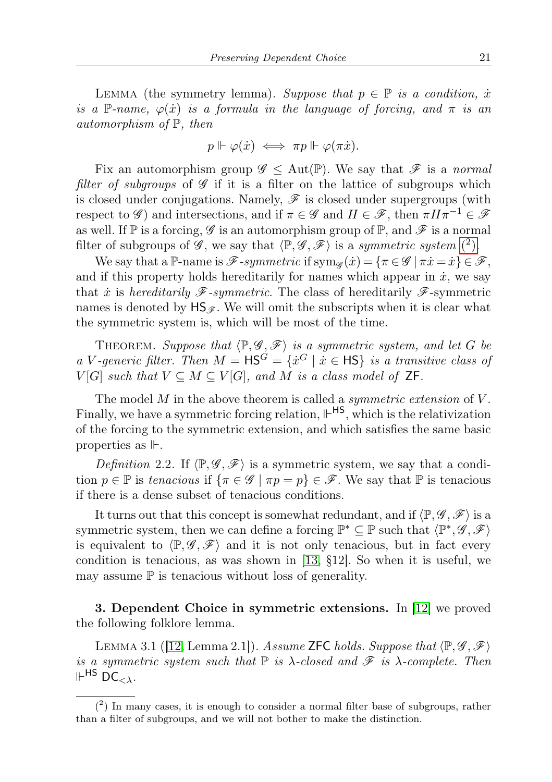LEMMA (the symmetry lemma). Suppose that  $p \in \mathbb{P}$  is a condition,  $\dot{x}$ is a P-name,  $\varphi(\dot{x})$  is a formula in the language of forcing, and  $\pi$  is an automorphism of P, then

$$
p \Vdash \varphi(\dot{x}) \iff \pi p \Vdash \varphi(\pi \dot{x}).
$$

Fix an automorphism group  $\mathscr{G} \leq \text{Aut}(\mathbb{P})$ . We say that  $\mathscr{F}$  is a normal filter of subgroups of  $\mathscr G$  if it is a filter on the lattice of subgroups which is closed under conjugations. Namely,  $\mathscr F$  is closed under supergroups (with respect to  $\mathscr G$  and intersections, and if  $\pi \in \mathscr G$  and  $H \in \mathscr F$ , then  $\pi H \pi^{-1} \in \mathscr F$ as well. If  $\mathbb P$  is a forcing,  $\mathscr G$  is an automorphism group of  $\mathbb P$ , and  $\mathscr F$  is a normal filter of subgroups of  $\mathscr{G}$ , we say that  $\langle \mathbb{P}, \mathscr{G}, \mathscr{F} \rangle$  is a symmetric system  $(2)$ .

We say that a P-name is  $\mathscr{F}$ -symmetric if  $\text{sym}_{\mathscr{G}}(\dot{x}) = \{ \pi \in \mathscr{G} \mid \pi \dot{x} = \dot{x} \} \in \mathscr{F}$ , and if this property holds hereditarily for names which appear in  $\dot{x}$ , we say that  $\dot{x}$  is hereditarily  $\mathscr{F}$ -symmetric. The class of hereditarily  $\mathscr{F}$ -symmetric names is denoted by  $\mathsf{HS}_{\mathscr{F}}$ . We will omit the subscripts when it is clear what the symmetric system is, which will be most of the time.

THEOREM. Suppose that  $\langle \mathbb{P}, \mathcal{G}, \mathcal{F} \rangle$  is a symmetric system, and let G be a V-generic filter. Then  $M = HS^G = \{ \dot{x}^G \mid \dot{x} \in HS \}$  is a transitive class of  $V[G]$  such that  $V \subseteq M \subseteq V[G]$ , and M is a class model of ZF.

The model  $M$  in the above theorem is called a *symmetric extension* of  $V$ . Finally, we have a symmetric forcing relation,  $\mathbb{H}^{\mathsf{HS}}$ , which is the relativization of the forcing to the symmetric extension, and which satisfies the same basic properties as .

Definition 2.2. If  $\langle \mathbb{P}, \mathcal{G}, \mathcal{F} \rangle$  is a symmetric system, we say that a condition  $p \in \mathbb{P}$  is tenacious if  $\{\pi \in \mathscr{G} \mid \pi p = p\} \in \mathscr{F}$ . We say that  $\mathbb{P}$  is tenacious if there is a dense subset of tenacious conditions.

It turns out that this concept is somewhat redundant, and if  $\langle \mathbb{P}, \mathcal{G}, \mathcal{F} \rangle$  is a symmetric system, then we can define a forcing  $\mathbb{P}^* \subseteq \mathbb{P}$  such that  $\langle \mathbb{P}^*, \mathscr{G}, \mathscr{F} \rangle$ is equivalent to  $\langle \mathbb{P}, \mathscr{G}, \mathscr{F} \rangle$  and it is not only tenacious, but in fact every condition is tenacious, as was shown in [\[13,](#page-10-2) §12]. So when it is useful, we may assume  $\mathbb P$  is tenacious without loss of generality.

3. Dependent Choice in symmetric extensions. In [\[12\]](#page-10-0) we proved the following folklore lemma.

<span id="page-2-0"></span>LEMMA 3.1 ([\[12,](#page-10-0) Lemma 2.1]). Assume ZFC holds. Suppose that  $\langle \mathbb{P}, \mathcal{G}, \mathcal{F} \rangle$ is a symmetric system such that  $\mathbb P$  is  $\lambda$ -closed and  $\mathscr F$  is  $\lambda$ -complete. Then  $\mathbb{H}^{\mathsf{HS}}$  DC<sub>< $\lambda$ </sub>.

<span id="page-2-1"></span> $(2)$  In many cases, it is enough to consider a normal filter base of subgroups, rather than a filter of subgroups, and we will not bother to make the distinction.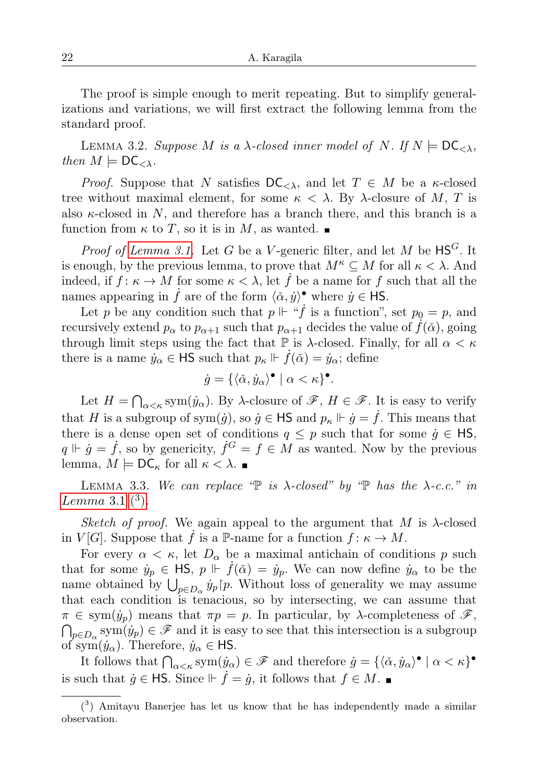The proof is simple enough to merit repeating. But to simplify generalizations and variations, we will first extract the following lemma from the standard proof.

LEMMA 3.2. Suppose M is a  $\lambda$ -closed inner model of N. If  $N \models \mathsf{DC}_{\leq \lambda}$ , then  $M \models DC_{< \lambda}$ .

*Proof.* Suppose that N satisfies  $DC_{\leq \lambda}$ , and let  $T \in M$  be a  $\kappa$ -closed tree without maximal element, for some  $\kappa < \lambda$ . By  $\lambda$ -closure of M, T is also  $\kappa$ -closed in N, and therefore has a branch there, and this branch is a function from  $\kappa$  to T, so it is in M, as wanted.

*Proof of [Lemma 3.1.](#page-2-0)* Let G be a V-generic filter, and let M be  $HS<sup>G</sup>$ . It is enough, by the previous lemma, to prove that  $M^{\kappa} \subseteq M$  for all  $\kappa < \lambda$ . And indeed, if  $f: \kappa \to M$  for some  $\kappa < \lambda$ , let  $\dot{f}$  be a name for f such that all the names appearing in  $\dot{f}$  are of the form  $\langle \check{\alpha}, \dot{y} \rangle^{\bullet}$  where  $\dot{y} \in \mathsf{HS}$ .

Let p be any condition such that  $p \Vdash "f$  is a function", set  $p_0 = p$ , and recursively extend  $p_{\alpha}$  to  $p_{\alpha+1}$  such that  $p_{\alpha+1}$  decides the value of  $\dot{f}(\check{\alpha})$ , going through limit steps using the fact that  $\mathbb P$  is  $\lambda$ -closed. Finally, for all  $\alpha < \kappa$ there is a name  $\dot{y}_{\alpha} \in \mathsf{HS}$  such that  $p_{\kappa} \Vdash \dot{f}(\check{\alpha}) = \dot{y}_{\alpha}$ ; define

$$
\dot{g} = \{ \langle \check{\alpha}, \dot{y}_{\alpha} \rangle^{\bullet} \mid \alpha < \kappa \}^{\bullet}.
$$

Let  $H = \bigcap_{\alpha < \kappa} \text{sym}(\dot{y}_\alpha)$ . By  $\lambda$ -closure of  $\mathscr{F}, H \in \mathscr{F}$ . It is easy to verify that H is a subgroup of sym $(j)$ , so  $j \in \textsf{HS}$  and  $p_{\kappa} \Vdash j = \dot{f}$ . This means that there is a dense open set of conditions  $q \leq p$  such that for some  $\dot{g} \in \mathsf{HS}$ ,  $q \Vdash \dot{g} = \dot{f}$ , so by genericity,  $\dot{f}^G = f \in \dot{M}$  as wanted. Now by the previous lemma,  $M \models \mathsf{DC}_\kappa$  for all  $\kappa < \lambda$ .

<span id="page-3-1"></span>LEMMA 3.3. We can replace  $\mathbb{P}$  is  $\lambda$ -closed" by  $\mathbb{P}$  has the  $\lambda$ -c.c." in *[Lemma](#page-2-0)* 3.1  $(^{3})$  $(^{3})$ .

Sketch of proof. We again appeal to the argument that M is  $\lambda$ -closed in  $V[G]$ . Suppose that f is a P-name for a function  $f: \kappa \to M$ .

For every  $\alpha < \kappa$ , let  $D_{\alpha}$  be a maximal antichain of conditions p such that for some  $\dot{y}_p \in \mathsf{HS}$ ,  $p \Vdash \dot{f}(\check{\alpha}) = \dot{y}_p$ . We can now define  $\dot{y}_\alpha$  to be the name obtained by  $\bigcup_{p\in D_{\alpha}}\dot{y}_p$   $\hat{p}$ . Without loss of generality we may assume that each condition is tenacious, so by intersecting, we can assume that  $\pi \in \text{sym}(\dot{y}_p)$  means that  $\pi p = p$ . In particular, by  $\lambda$ -completeness of  $\mathscr{F}$ ,  $\bigcap_{p\in D_{\alpha}} sym(\dot{y}_p) \in \mathscr{F}$  and it is easy to see that this intersection is a subgroup of sym $(\dot{y}_\alpha)$ . Therefore,  $\dot{y}_\alpha \in \mathsf{HS}$ .

It follows that  $\bigcap_{\alpha<\kappa}$  sym $(\dot{y}_{\alpha})\in\mathscr{F}$  and therefore  $\dot{g}=\{\langle\check{\alpha},\dot{y}_{\alpha}\rangle^{\bullet}\mid\alpha<\kappa\}^{\bullet}$ is such that  $\dot{g} \in \mathsf{HS}$ . Since  $\Vdash \dot{f} = \dot{g}$ , it follows that  $f \in M$ . ■

<span id="page-3-0"></span><sup>(</sup> 3 ) Amitayu Banerjee has let us know that he has independently made a similar observation.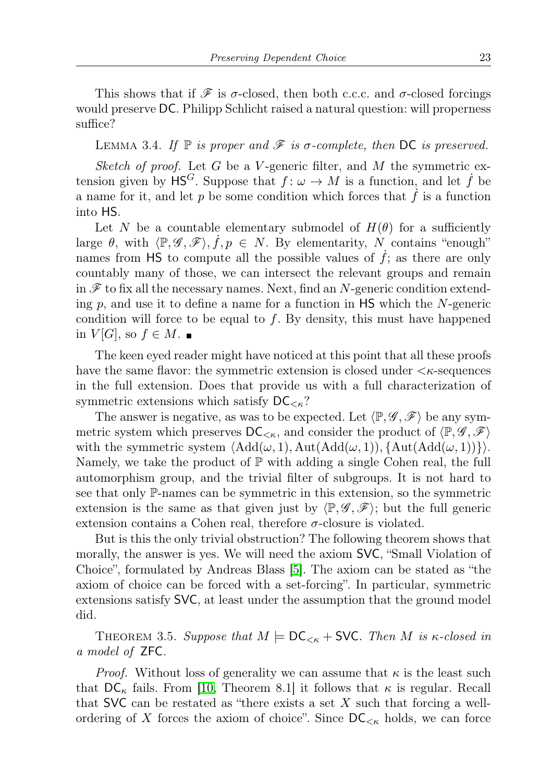This shows that if  $\mathscr F$  is  $\sigma$ -closed, then both c.c.c. and  $\sigma$ -closed forcings would preserve DC. Philipp Schlicht raised a natural question: will properness suffice?

<span id="page-4-0"></span>LEMMA 3.4. If  $\mathbb P$  is proper and  $\mathscr F$  is  $\sigma$ -complete, then DC is preserved.

Sketch of proof. Let G be a V-generic filter, and M the symmetric extension given by  $HS^G$ . Suppose that  $f : \omega \to M$  is a function, and let f be a name for it, and let  $p$  be some condition which forces that  $f$  is a function into HS.

Let N be a countable elementary submodel of  $H(\theta)$  for a sufficiently large  $\theta$ , with  $\langle \mathbb{P}, \mathscr{G}, \mathscr{F} \rangle, \dot{f}, p \in N$ . By elementarity, N contains "enough" names from  $\mathsf{HS}$  to compute all the possible values of  $f$ ; as there are only countably many of those, we can intersect the relevant groups and remain in  $\mathscr F$  to fix all the necessary names. Next, find an N-generic condition extending  $p$ , and use it to define a name for a function in HS which the N-generic condition will force to be equal to  $f$ . By density, this must have happened in  $V[G]$ , so  $f \in M$ .

The keen eyed reader might have noticed at this point that all these proofs have the same flavor: the symmetric extension is closed under  $\langle \kappa \text{-sequences} \rangle$ in the full extension. Does that provide us with a full characterization of symmetric extensions which satisfy  $DC_{< \kappa}$ ?

The answer is negative, as was to be expected. Let  $\langle \mathbb{P}, \mathcal{G}, \mathcal{F} \rangle$  be any symmetric system which preserves  $DC_{\leq \kappa}$ , and consider the product of  $\langle \mathbb{P}, \mathcal{G}, \mathcal{F} \rangle$ with the symmetric system  $\langle \text{Add}(\omega, 1), \text{Aut}(\text{Add}(\omega, 1)), \{\text{Aut}(\text{Add}(\omega, 1))\}\rangle.$ Namely, we take the product of  $\mathbb P$  with adding a single Cohen real, the full automorphism group, and the trivial filter of subgroups. It is not hard to see that only P-names can be symmetric in this extension, so the symmetric extension is the same as that given just by  $\langle P, \mathcal{G}, \mathcal{F} \rangle$ ; but the full generic extension contains a Cohen real, therefore  $\sigma$ -closure is violated.

But is this the only trivial obstruction? The following theorem shows that morally, the answer is yes. We will need the axiom SVC, "Small Violation of Choice", formulated by Andreas Blass [\[5\]](#page-10-3). The axiom can be stated as "the axiom of choice can be forced with a set-forcing". In particular, symmetric extensions satisfy SVC, at least under the assumption that the ground model did.

THEOREM 3.5. Suppose that  $M \models DC_{\leq \kappa} + \text{SVC}$ . Then M is  $\kappa$ -closed in a model of ZFC.

*Proof.* Without loss of generality we can assume that  $\kappa$  is the least such that  $DC_{\kappa}$  fails. From [\[10,](#page-10-1) Theorem 8.1] it follows that  $\kappa$  is regular. Recall that SVC can be restated as "there exists a set  $X$  such that forcing a wellordering of X forces the axiom of choice". Since  $DC_{\leq \kappa}$  holds, we can force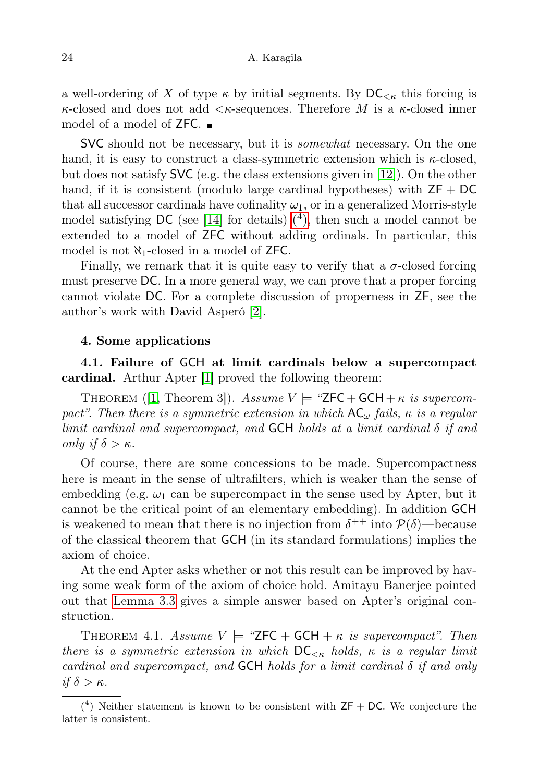a well-ordering of X of type  $\kappa$  by initial segments. By  $DC_{\leq \kappa}$  this forcing is  $\kappa$ -closed and does not add  $\langle \kappa$ -sequences. Therefore M is a  $\kappa$ -closed inner model of a model of ZFC.

SVC should not be necessary, but it is *somewhat* necessary. On the one hand, it is easy to construct a class-symmetric extension which is κ-closed, but does not satisfy SVC (e.g. the class extensions given in [\[12\]](#page-10-0)). On the other hand, if it is consistent (modulo large cardinal hypotheses) with  $ZF + DC$ that all successor cardinals have cofinality  $\omega_1$ , or in a generalized Morris-style model satisfying  $DC$  (see [\[14\]](#page-10-4) for details)  $(4)$ , then such a model cannot be extended to a model of ZFC without adding ordinals. In particular, this model is not  $\aleph_1$ -closed in a model of ZFC.

Finally, we remark that it is quite easy to verify that a  $\sigma$ -closed forcing must preserve DC. In a more general way, we can prove that a proper forcing cannot violate DC. For a complete discussion of properness in ZF, see the author's work with David Asperó [\[2\]](#page-10-5).

## 4. Some applications

<span id="page-5-1"></span>4.1. Failure of GCH at limit cardinals below a supercompact cardinal. Arthur Apter [\[1\]](#page-10-6) proved the following theorem:

THEOREM ([\[1,](#page-10-6) Theorem 3]). Assume  $V \models$  "ZFC + GCH +  $\kappa$  is supercompact". Then there is a symmetric extension in which  $AC_{\omega}$  fails,  $\kappa$  is a regular limit cardinal and supercompact, and GCH holds at a limit cardinal  $\delta$  if and only if  $\delta > \kappa$ .

Of course, there are some concessions to be made. Supercompactness here is meant in the sense of ultrafilters, which is weaker than the sense of embedding (e.g.  $\omega_1$  can be supercompact in the sense used by Apter, but it cannot be the critical point of an elementary embedding). In addition GCH is weakened to mean that there is no injection from  $\delta^{++}$  into  $\mathcal{P}(\delta)$ —because of the classical theorem that GCH (in its standard formulations) implies the axiom of choice.

At the end Apter asks whether or not this result can be improved by having some weak form of the axiom of choice hold. Amitayu Banerjee pointed out that [Lemma 3.3](#page-3-1) gives a simple answer based on Apter's original construction.

THEOREM 4.1. Assume  $V \models$  "ZFC + GCH +  $\kappa$  is supercompact". Then there is a symmetric extension in which  $DC_{\leq \kappa}$  holds,  $\kappa$  is a regular limit cardinal and supercompact, and  $GCH$  holds for a limit cardinal  $\delta$  if and only if  $\delta > \kappa$ .

<span id="page-5-0"></span> $(4)$  Neither statement is known to be consistent with ZF + DC. We conjecture the latter is consistent.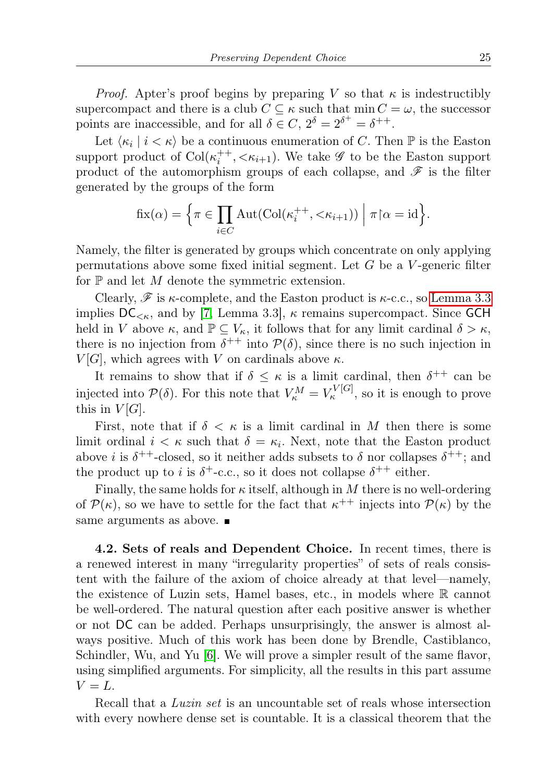*Proof.* Apter's proof begins by preparing V so that  $\kappa$  is indestructibly supercompact and there is a club  $C \subseteq \kappa$  such that  $\min C = \omega$ , the successor points are inaccessible, and for all  $\delta \in C$ ,  $2^{\delta} = 2^{\delta^+} = \delta^{++}$ .

Let  $\langle \kappa_i | i \rangle \kappa \rangle$  be a continuous enumeration of C. Then  $\mathbb P$  is the Easton support product of  $Col(\kappa_i^{++}, \langle \kappa_{i+1})$ . We take  $\mathscr G$  to be the Easton support product of the automorphism groups of each collapse, and  $\mathscr F$  is the filter generated by the groups of the form

$$
fix(\alpha) = \left\{ \pi \in \prod_{i \in C} Aut(\text{Col}(\kappa_i^{++}, \langle \kappa_{i+1}) ) \mid \pi \upharpoonright \alpha = id \right\}.
$$

Namely, the filter is generated by groups which concentrate on only applying permutations above some fixed initial segment. Let  $G$  be a  $V$ -generic filter for  $\mathbb P$  and let  $M$  denote the symmetric extension.

Clearly,  $\mathscr F$  is  $\kappa$ -complete, and the Easton product is  $\kappa$ -c.c., so [Lemma 3.3](#page-3-1) implies  $DC_{\leq \kappa}$ , and by [\[7,](#page-10-7) Lemma 3.3],  $\kappa$  remains supercompact. Since GCH held in V above  $\kappa$ , and  $\mathbb{P} \subseteq V_{\kappa}$ , it follows that for any limit cardinal  $\delta > \kappa$ , there is no injection from  $\delta^{++}$  into  $\mathcal{P}(\delta)$ , since there is no such injection in  $V[G]$ , which agrees with V on cardinals above  $\kappa$ .

It remains to show that if  $\delta \leq \kappa$  is a limit cardinal, then  $\delta^{++}$  can be injected into  $\mathcal{P}(\delta)$ . For this note that  $V_{\kappa}^M = V_{\kappa}^{V[G]}$ , so it is enough to prove this in  $V[G]$ .

First, note that if  $\delta < \kappa$  is a limit cardinal in M then there is some limit ordinal  $i < \kappa$  such that  $\delta = \kappa_i$ . Next, note that the Easton product above *i* is  $\delta^{++}$ -closed, so it neither adds subsets to  $\delta$  nor collapses  $\delta^{++}$ ; and the product up to *i* is  $\delta^+$ -c.c., so it does not collapse  $\delta^{++}$  either.

Finally, the same holds for  $\kappa$  itself, although in M there is no well-ordering of  $\mathcal{P}(\kappa)$ , so we have to settle for the fact that  $\kappa^{++}$  injects into  $\mathcal{P}(\kappa)$  by the same arguments as above.  $\blacksquare$ 

4.2. Sets of reals and Dependent Choice. In recent times, there is a renewed interest in many "irregularity properties" of sets of reals consistent with the failure of the axiom of choice already at that level—namely, the existence of Luzin sets, Hamel bases, etc., in models where R cannot be well-ordered. The natural question after each positive answer is whether or not DC can be added. Perhaps unsurprisingly, the answer is almost always positive. Much of this work has been done by Brendle, Castiblanco, Schindler, Wu, and Yu [\[6\]](#page-10-8). We will prove a simpler result of the same flavor, using simplified arguments. For simplicity, all the results in this part assume  $V = L$ .

Recall that a *Luzin set* is an uncountable set of reals whose intersection with every nowhere dense set is countable. It is a classical theorem that the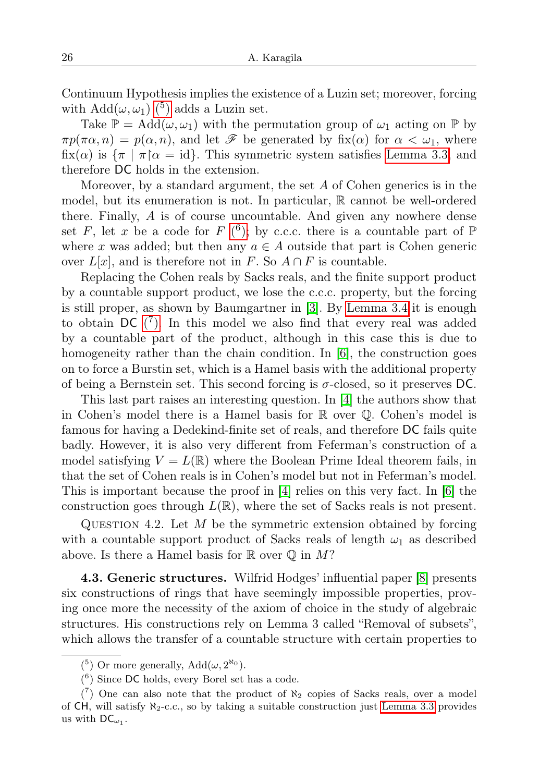Continuum Hypothesis implies the existence of a Luzin set; moreover, forcing with  $Add(\omega, \omega_1)$  $Add(\omega, \omega_1)$  (<sup>5</sup>) adds a Luzin set.

Take  $\mathbb{P} = \text{Add}(\omega, \omega_1)$  with the permutation group of  $\omega_1$  acting on  $\mathbb{P}$  by  $\pi p(\pi \alpha, n) = p(\alpha, n)$ , and let  $\mathscr F$  be generated by fix( $\alpha$ ) for  $\alpha < \omega_1$ , where  $fix(\alpha)$  is  $\{\pi \mid \pi \alpha = id\}$ . This symmetric system satisfies [Lemma 3.3,](#page-3-1) and therefore DC holds in the extension.

Moreover, by a standard argument, the set  $A$  of Cohen generics is in the model, but its enumeration is not. In particular, R cannot be well-ordered there. Finally, A is of course uncountable. And given any nowhere dense set F, let x be a code for F  $(6)$ ; by c.c.c. there is a countable part of  $\mathbb P$ where x was added; but then any  $a \in A$  outside that part is Cohen generic over  $L[x]$ , and is therefore not in F. So  $A \cap F$  is countable.

Replacing the Cohen reals by Sacks reals, and the finite support product by a countable support product, we lose the c.c.c. property, but the forcing is still proper, as shown by Baumgartner in [\[3\]](#page-10-9). By [Lemma 3.4](#page-4-0) it is enough to obtain DC  $(7)$ . In this model we also find that every real was added by a countable part of the product, although in this case this is due to homogeneity rather than the chain condition. In  $|6|$ , the construction goes on to force a Burstin set, which is a Hamel basis with the additional property of being a Bernstein set. This second forcing is  $\sigma$ -closed, so it preserves DC.

This last part raises an interesting question. In [\[4\]](#page-10-10) the authors show that in Cohen's model there is a Hamel basis for  $\mathbb R$  over  $\mathbb Q$ . Cohen's model is famous for having a Dedekind-finite set of reals, and therefore DC fails quite badly. However, it is also very different from Feferman's construction of a model satisfying  $V = L(\mathbb{R})$  where the Boolean Prime Ideal theorem fails, in that the set of Cohen reals is in Cohen's model but not in Feferman's model. This is important because the proof in [\[4\]](#page-10-10) relies on this very fact. In [\[6\]](#page-10-8) the construction goes through  $L(\mathbb{R})$ , where the set of Sacks reals is not present.

QUESTION 4.2. Let  $M$  be the symmetric extension obtained by forcing with a countable support product of Sacks reals of length  $\omega_1$  as described above. Is there a Hamel basis for  $\mathbb R$  over  $\mathbb Q$  in M?

4.3. Generic structures. Wilfrid Hodges' influential paper [\[8\]](#page-10-11) presents six constructions of rings that have seemingly impossible properties, proving once more the necessity of the axiom of choice in the study of algebraic structures. His constructions rely on Lemma 3 called "Removal of subsets", which allows the transfer of a countable structure with certain properties to

<span id="page-7-0"></span><sup>&</sup>lt;sup>(5)</sup> Or more generally,  $Add(\omega, 2^{\aleph_0})$ .

<span id="page-7-2"></span><span id="page-7-1"></span><sup>(</sup> 6 ) Since DC holds, every Borel set has a code.

 $(7)$  One can also note that the product of  $\aleph_2$  copies of Sacks reals, over a model of CH, will satisfy  $\aleph_2$ -c.c., so by taking a suitable construction just [Lemma 3.3](#page-3-1) provides us with  $\mathsf{DC}_{\omega_1}$ .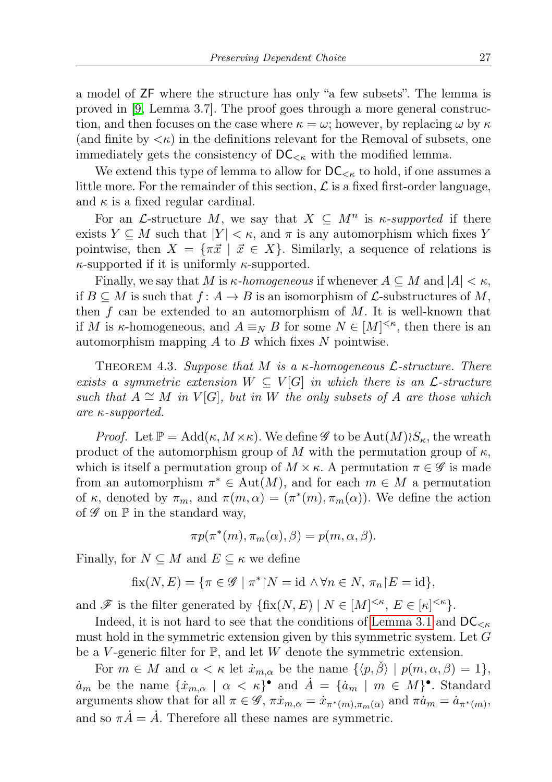a model of ZF where the structure has only "a few subsets". The lemma is proved in [\[9,](#page-10-12) Lemma 3.7]. The proof goes through a more general construction, and then focuses on the case where  $\kappa = \omega$ ; however, by replacing  $\omega$  by  $\kappa$ (and finite by  $\langle \kappa \rangle$ ) in the definitions relevant for the Removal of subsets, one immediately gets the consistency of  $DC_{<\kappa}$  with the modified lemma.

We extend this type of lemma to allow for  $DC_{< \kappa}$  to hold, if one assumes a little more. For the remainder of this section,  $\mathcal L$  is a fixed first-order language, and  $\kappa$  is a fixed regular cardinal.

For an *L*-structure M, we say that  $X \subseteq M^n$  is *k*-supported if there exists  $Y \subseteq M$  such that  $|Y| < \kappa$ , and  $\pi$  is any automorphism which fixes Y pointwise, then  $X = \{\pi \vec{x} \mid \vec{x} \in X\}$ . Similarly, a sequence of relations is  $\kappa$ -supported if it is uniformly  $\kappa$ -supported.

Finally, we say that M is  $\kappa$ -homogeneous if whenever  $A \subseteq M$  and  $|A| < \kappa$ , if  $B \subseteq M$  is such that  $f: A \to B$  is an isomorphism of  $\mathcal{L}$ -substructures of M, then  $f$  can be extended to an automorphism of  $M$ . It is well-known that if M is  $\kappa$ -homogeneous, and  $A \equiv_N B$  for some  $N \in [M]^{<\kappa}$ , then there is an automorphism mapping  $A$  to  $B$  which fixes  $N$  pointwise.

THEOREM 4.3. Suppose that M is a  $\kappa$ -homogeneous  $\mathcal{L}$ -structure. There exists a symmetric extension  $W \subseteq V[G]$  in which there is an  $\mathcal{L}$ -structure such that  $A \cong M$  in  $V[G]$ , but in W the only subsets of A are those which are  $\kappa$ -supported.

*Proof.* Let  $\mathbb{P} = \text{Add}(\kappa, M \times \kappa)$ . We define  $\mathscr G$  to be  $\text{Aut}(M)\wr S_{\kappa}$ , the wreath product of the automorphism group of M with the permutation group of  $\kappa$ , which is itself a permutation group of  $M \times \kappa$ . A permutation  $\pi \in \mathscr{G}$  is made from an automorphism  $\pi^* \in \text{Aut}(M)$ , and for each  $m \in M$  a permutation of  $\kappa$ , denoted by  $\pi_m$ , and  $\pi(m,\alpha) = (\pi^*(m), \pi_m(\alpha))$ . We define the action of  $\mathscr G$  on  $\mathbb P$  in the standard way,

$$
\pi p(\pi^*(m), \pi_m(\alpha), \beta) = p(m, \alpha, \beta).
$$

Finally, for  $N \subseteq M$  and  $E \subseteq \kappa$  we define

$$
fix(N, E) = \{ \pi \in \mathscr{G} \mid \pi^* \upharpoonright N = id \land \forall n \in N, \pi_n \upharpoonright E = id \},
$$

and  $\mathscr{F}$  is the filter generated by  $\{\text{fix}(N, E) \mid N \in [M]^{<\kappa}, E \in [\kappa]^{<\kappa}\}.$ 

Indeed, it is not hard to see that the conditions of [Lemma 3.1](#page-2-0) and  $DC_{< \kappa}$ must hold in the symmetric extension given by this symmetric system. Let G be a V-generic filter for  $\mathbb{P}$ , and let W denote the symmetric extension.

For  $m \in M$  and  $\alpha < \kappa$  let  $\dot{x}_{m,\alpha}$  be the name  $\{\langle p,\beta\rangle \mid p(m,\alpha,\beta)=1\},$  $a_m$  be the name  $\{\dot{x}_{m,\alpha} \mid \alpha < \kappa\}$  and  $\dot{A} = \{\dot{a}_m \mid m \in M\}$ . Standard arguments show that for all  $\pi \in \mathscr{G}$ ,  $\pi \dot{x}_{m,\alpha} = \dot{x}_{\pi^*(m),\pi_m(\alpha)}$  and  $\pi \dot{a}_m = \dot{a}_{\pi^*(m)}$ , and so  $\pi \dot{A} = \dot{A}$ . Therefore all these names are symmetric.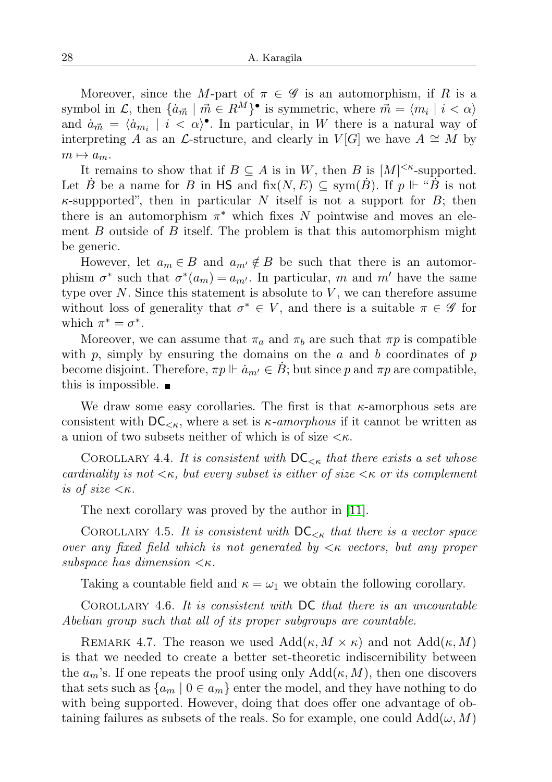Moreover, since the M-part of  $\pi \in \mathscr{G}$  is an automorphism, if R is a symbol in  $\mathcal{L}$ , then  $\{\dot{a}_{\vec{m}} \mid \vec{m} \in R^M\}^{\bullet}$  is symmetric, where  $\vec{m} = \langle m_i \mid i < \alpha \rangle$ and  $\dot{a}_{\vec{m}} = \langle \dot{a}_{m_i} | i \langle \alpha \rangle$ . In particular, in W there is a natural way of interpreting A as an L-structure, and clearly in  $V[G]$  we have  $A \cong M$  by  $m \mapsto a_m$ .

It remains to show that if  $B \subseteq A$  is in W, then B is  $[M]^{<\kappa}$ -supported. Let  $\dot{B}$  be a name for B in HS and  $fix(N, E) \subseteq sym(\dot{B})$ . If  $p \Vdash ``\dot{B}$  is not  $\kappa$ -suppported", then in particular N itself is not a support for B; then there is an automorphism  $\pi^*$  which fixes N pointwise and moves an element  $B$  outside of  $B$  itself. The problem is that this automorphism might be generic.

However, let  $a_m \in B$  and  $a_{m'} \notin B$  be such that there is an automorphism  $\sigma^*$  such that  $\sigma^*(a_m) = a_{m'}$ . In particular, m and m' have the same type over  $N$ . Since this statement is absolute to  $V$ , we can therefore assume without loss of generality that  $\sigma^* \in V$ , and there is a suitable  $\pi \in \mathscr{G}$  for which  $\pi^* = \sigma^*$ .

Moreover, we can assume that  $\pi_a$  and  $\pi_b$  are such that  $\pi_p$  is compatible with  $p$ , simply by ensuring the domains on the  $a$  and  $b$  coordinates of  $p$ become disjoint. Therefore,  $\pi p \Vdash \dot{a}_{m'} \in \dot{B}$ ; but since p and  $\pi p$  are compatible, this is impossible.  $\blacksquare$ 

We draw some easy corollaries. The first is that  $\kappa$ -amorphous sets are consistent with  $DC_{\leq \kappa}$ , where a set is  $\kappa$ -amorphous if it cannot be written as a union of two subsets neither of which is of size  $\lt \kappa$ .

COROLLARY 4.4. It is consistent with  $DC_{\leq \kappa}$  that there exists a set whose cardinality is not  $\langle \kappa, \rangle$  but every subset is either of size  $\langle \kappa \rangle$  or its complement is of size  $\lt \kappa$ .

The next corollary was proved by the author in [\[11\]](#page-10-13).

COROLLARY 4.5. It is consistent with  $DC_{\leq \kappa}$  that there is a vector space over any fixed field which is not generated by  $\lt$  x vectors, but any proper subspace has dimension  $\lt \kappa$ .

Taking a countable field and  $\kappa = \omega_1$  we obtain the following corollary.

COROLLARY 4.6. It is consistent with  $DC$  that there is an uncountable Abelian group such that all of its proper subgroups are countable.

REMARK 4.7. The reason we used  $\text{Add}(\kappa, M \times \kappa)$  and not  $\text{Add}(\kappa, M)$ is that we needed to create a better set-theoretic indiscernibility between the  $a_m$ 's. If one repeats the proof using only  $Add(\kappa, M)$ , then one discovers that sets such as  $\{a_m \mid 0 \in a_m\}$  enter the model, and they have nothing to do with being supported. However, doing that does offer one advantage of obtaining failures as subsets of the reals. So for example, one could  $Add(\omega, M)$